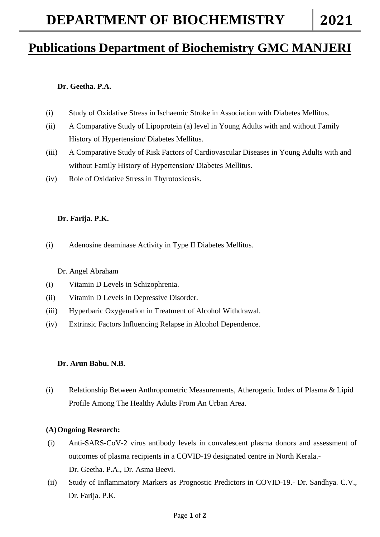## **Publications Department of Biochemistry GMC MANJERI**

### **Dr. Geetha. P.A.**

- (i) Study of Oxidative Stress in Ischaemic Stroke in Association with Diabetes Mellitus.
- (ii) A Comparative Study of Lipoprotein (a) level in Young Adults with and without Family History of Hypertension/ Diabetes Mellitus.
- (iii) A Comparative Study of Risk Factors of Cardiovascular Diseases in Young Adults with and without Family History of Hypertension/ Diabetes Mellitus.
- (iv) Role of Oxidative Stress in Thyrotoxicosis.

#### **Dr. Farija. P.K.**

(i) Adenosine deaminase Activity in Type II Diabetes Mellitus.

Dr. Angel Abraham

- (i) Vitamin D Levels in Schizophrenia.
- (ii) Vitamin D Levels in Depressive Disorder.
- (iii) Hyperbaric Oxygenation in Treatment of Alcohol Withdrawal.
- (iv) Extrinsic Factors Influencing Relapse in Alcohol Dependence.

#### **Dr. Arun Babu. N.B.**

(i) Relationship Between Anthropometric Measurements, Atherogenic Index of Plasma & Lipid Profile Among The Healthy Adults From An Urban Area.

#### **(A)Ongoing Research:**

- (i) Anti-SARS-CoV-2 virus antibody levels in convalescent plasma donors and assessment of outcomes of plasma recipients in a COVID-19 designated centre in North Kerala.- Dr. Geetha. P.A., Dr. Asma Beevi.
- (ii) Study of Inflammatory Markers as Prognostic Predictors in COVID-19.- Dr. Sandhya. C.V., Dr. Farija. P.K.